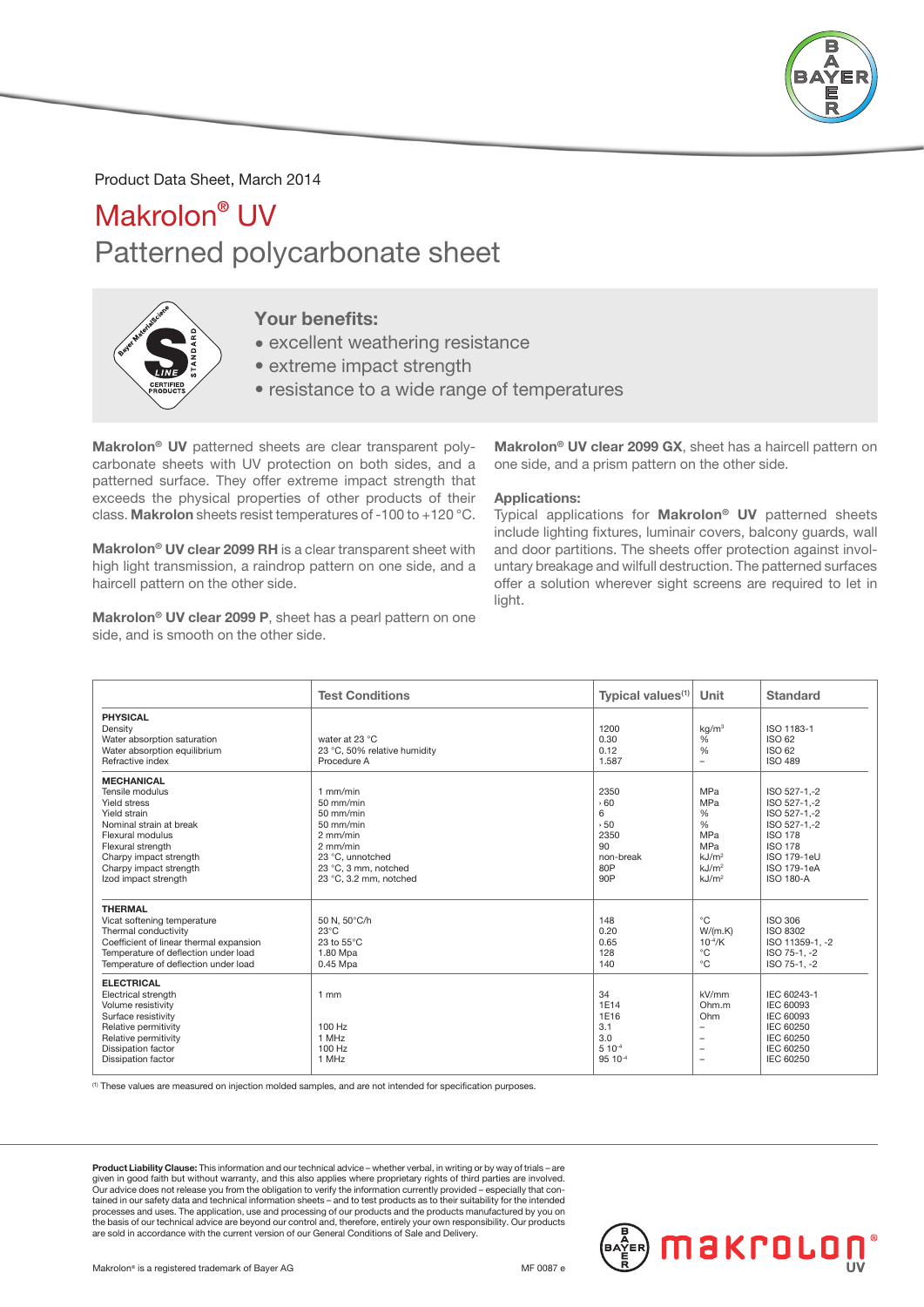

## Product Data Sheet, March 2014

## Makrolon<sup>®</sup> UV Patterned polycarbonate sheet



## Your benefits:

- excellent weathering resistance
- extreme impact strength
- resistance to a wide range of temperatures

Makrolon® UV patterned sheets are clear transparent polycarbonate sheets with UV protection on both sides, and a patterned surface. They offer extreme impact strength that exceeds the physical properties of other products of their class. Makrolon sheets resist temperatures of -100 to +120 °C.

Makrolon® UV clear 2099 RH is a clear transparent sheet with high light transmission, a raindrop pattern on one side, and a haircell pattern on the other side.

Makrolon® UV clear 2099 P, sheet has a pearl pattern on one side, and is smooth on the other side.

Makrolon® UV clear 2099 GX, sheet has a haircell pattern on one side, and a prism pattern on the other side.

#### Applications:

Typical applications for Makrolon<sup>®</sup> UV patterned sheets include lighting fixtures, luminair covers, balcony guards, wall and door partitions. The sheets offer protection against involuntary breakage and wilfull destruction. The patterned surfaces offer a solution wherever sight screens are required to let in light.

Makrolon®

|                                                                                                                                                                                                                      | <b>Test Conditions</b>                                                                                                                                  | Typical values <sup>(1)</sup>                                     | Unit                                                                                                                                  | Standard                                                                                                                                           |
|----------------------------------------------------------------------------------------------------------------------------------------------------------------------------------------------------------------------|---------------------------------------------------------------------------------------------------------------------------------------------------------|-------------------------------------------------------------------|---------------------------------------------------------------------------------------------------------------------------------------|----------------------------------------------------------------------------------------------------------------------------------------------------|
| <b>PHYSICAL</b><br>Density<br>Water absorption saturation<br>Water absorption equilibrium<br>Refractive index                                                                                                        | water at 23 °C<br>23 °C, 50% relative humidity<br>Procedure A                                                                                           | 1200<br>0.30<br>0.12<br>1.587                                     | kq/m <sup>3</sup><br>%<br>$\frac{0}{6}$<br>$\overline{\phantom{m}}$                                                                   | ISO 1183-1<br>ISO 62<br>ISO 62<br><b>ISO 489</b>                                                                                                   |
| <b>MECHANICAL</b><br>Tensile modulus<br>Yield stress<br>Yield strain<br>Nominal strain at break<br>Flexural modulus<br>Flexural strength<br>Charpy impact strength<br>Charpy impact strength<br>Izod impact strength | $1$ mm/min<br>$50$ mm/min<br>50 mm/min<br>$50$ mm/min<br>$2$ mm/min<br>$2$ mm/min<br>23 °C, unnotched<br>23 °C, 3 mm, notched<br>23 °C, 3.2 mm, notched | 2350<br>560<br>6<br>, 50<br>2350<br>90<br>non-break<br>80P<br>90P | <b>MPa</b><br><b>MPa</b><br>%<br>%<br><b>MPa</b><br><b>MPa</b><br>kJ/m <sup>2</sup><br>kJ/m <sup>2</sup><br>kJ/m <sup>2</sup>         | ISO 527-1,-2<br>ISO 527-1 -2<br>ISO 527-1,-2<br>ISO 527-1,-2<br><b>ISO 178</b><br><b>ISO 178</b><br>ISO 179-1eU<br>ISO 179-1eA<br><b>ISO 180-A</b> |
| <b>THERMAL</b><br>Vicat softening temperature<br>Thermal conductivity<br>Coefficient of linear thermal expansion<br>Temperature of deflection under load<br>Temperature of deflection under load                     | 50 N, 50°C/h<br>$23^{\circ}$ C<br>23 to $55^{\circ}$ C<br>1.80 Mpa<br>0.45 Mpa                                                                          | 148<br>0.20<br>0.65<br>128<br>140                                 | $^{\circ}C$<br>W/(m.K)<br>$10^{-4}/K$<br>$^{\circ}C$<br>$^{\circ}C$                                                                   | <b>ISO 306</b><br>ISO 8302<br>ISO 11359-1, -2<br>ISO 75-1, -2<br>ISO 75-1, -2                                                                      |
| <b>ELECTRICAL</b><br>Electrical strength<br>Volume resistivity<br>Surface resistivity<br>Relative permitivity<br>Relative permitivity<br>Dissipation factor<br><b>Dissipation factor</b>                             | $1$ mm<br>100 Hz<br>1 MHz<br>100 Hz<br>1 MHz                                                                                                            | 34<br>1E14<br>1E16<br>3.1<br>3.0<br>$5 10^{-4}$<br>95 10-4        | kV/mm<br>Ohm.m<br>Ohm<br>$\overline{\phantom{a}}$<br>$\overline{\phantom{m}}$<br>$\overline{\phantom{a}}$<br>$\overline{\phantom{a}}$ | IEC 60243-1<br>IEC 60093<br>IEC 60093<br>IEC 60250<br>IEC 60250<br>IEC 60250<br><b>IEC 60250</b>                                                   |

(1) These values are measured on injection molded samples, and are not intended for specification purposes.

Product Liability Clause: This information and our technical advice – whether verbal, in writing or by way of trials – are given in good faith but without warranty, and this also applies where proprietary rights of third parties are involved.<br>Our advice does not release you from the obligation to verify the information currently provided – esp tained in our safety data and technical information sheets – and to test products as to their suitability for the intended processes and uses. The application, use and processing of our products and the products manufactured by you on the basis of our technical advice are beyond our control and, therefore, entirely your own responsibility. Our products are sold in accordance with the current version of our General Conditions of Sale and Delivery.